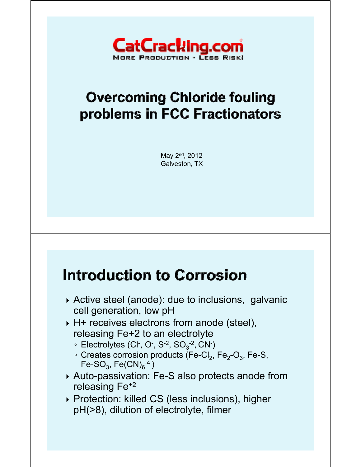

### **Overcoming Chloride fouling** problems in FCC Fractionators

May 2<sup>nd</sup>, 2012 Galveston, TX

#### **Introduction to Corrosion**

- Active steel (anode): due to inclusions, galvanic cell generation, low pH
- ▶ H+ receives electrons from anode (steel), releasing  $Fe+2$  to an electrolyte
	- ∘ Electrolytes (Cl<sup>-</sup>, O<sup>-</sup>, S<sup>-2</sup>, SO<sub>3</sub><sup>-2</sup>, CN<sup>-</sup>)
	- $\circ$  Creates corrosion products (Fe-Cl<sub>2</sub>, Fe<sub>2</sub>-O<sub>3</sub>, Fe-S, Fe-SO<sub>3</sub>, Fe(CN) $_6^{-4}$ )
- Auto-passivation: Fe-S also protects anode from releasing Fe+2
- ▶ Protection: killed CS (less inclusions), higher pH(>8), dilution of electrolyte, filmer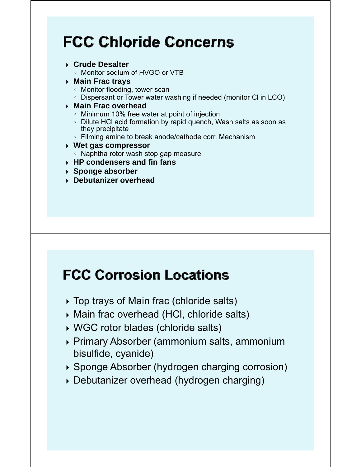# **FCC Chloride Concerns**

- **Crude Desalter** 
	- Monitor sodium of HVGO or VTB
- **Main Frac trays**
	- Monitor flooding, tower scan
	- Dispersant or Tower water washing if needed (monitor Cl in LCO)

#### **Main Frac overhead**

- Minimum 10% free water at point of injection
- Dilute HCl acid formation by rapid quench, Wash salts as soon as they precipitate
- Filming amine to break anode/cathode corr. Mechanism
- **Wet gas compressor**
- Naphtha rotor wash stop gap measure
- **EXP Condensers and fin fans**
- **Sponge absorber**
- **Debutanizer overhead**

#### **FCC Corrosion Locations**

- Top trays of Main frac (chloride salts)
- Main frac overhead (HCl, chloride salts)
- WGC rotor blades (chloride salts)
- Primary Absorber (ammonium salts, ammonium bisulfide, cyanide)
- $\rightarrow$  Sponge Absorber (hydrogen charging corrosion)
- Debutanizer overhead (hydrogen charging)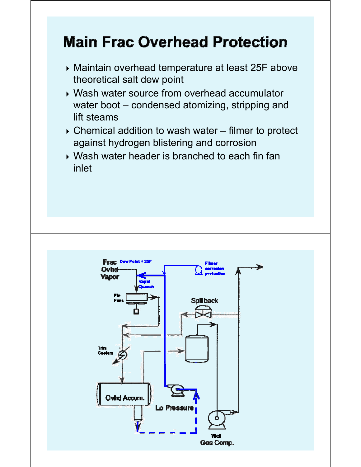# **Main Frac Overhead Protection**

- Maintain overhead temperature at least 25F above theoretical salt dew point
- Wash water source from overhead accumulator water boot – condensed atomizing, stripping and lift steams
- $\triangleright$  Chemical addition to wash water filmer to protect against hydrogen blistering and corrosion
- $\triangleright$  Wash water header is branched to each fin fan inlet

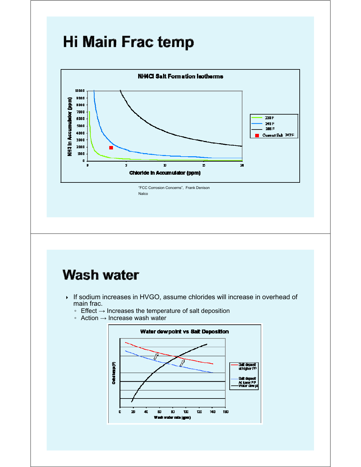### Hi Main Frac temp



#### **Wash water**

- ▶ If sodium increases in HVGO, assume chlorides will increase in overhead of main frac.
	- Effect → Increases the temperature of salt deposition
	- Action → Increase wash water

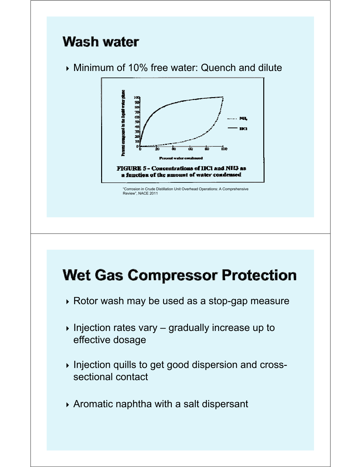# **Wash water**

Minimum of 10% free water: Quench and dilute



"Corrosion in Crude Distillation Unit Overhead Operations: A Comprehensive Review", NACE 2011

# **Wet Gas Compressor Protection**

- ▶ Rotor wash may be used as a stop-gap measure
- $\triangleright$  Injection rates vary gradually increase up to effective dosage
- Injection quills to get good dispersion and crosssectional contact
- Aromatic naphtha with a salt dispersant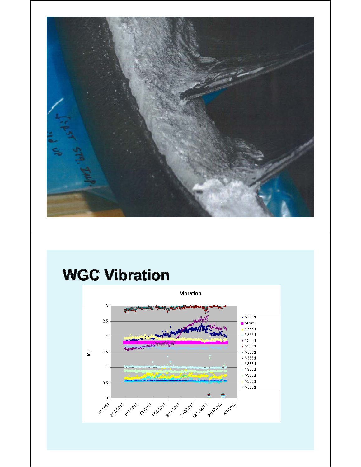

### **WGC Vibration**

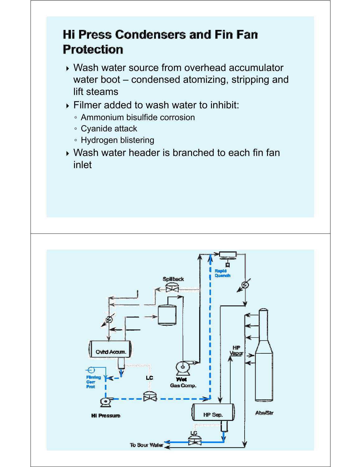#### **Hi Press Condensers and Fin Fan Protection**

- Wash water source from overhead accumulator water boot – condensed atomizing, stripping and lift steams
- $\triangleright$  Filmer added to wash water to inhibit:
	- Ammonium bisulfide corrosion
	- Cyanide attack
	- Hydrogen blistering
- Wash water header is branched to each fin fan inlet

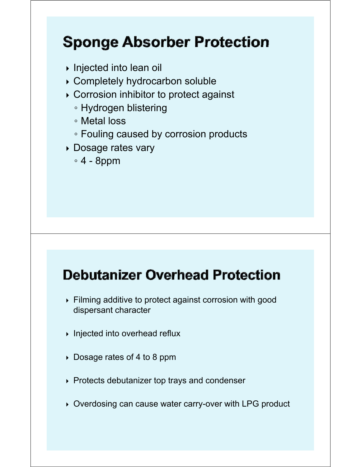# **Sponge Absorber Protection**

- Injected into lean oil
- Completely hydrocarbon soluble
- Corrosion inhibitor to protect against
	- Hydrogen blistering
	- Metal loss
	- Fouling caused by corrosion products
- **Dosage rates vary** 
	- 4 8ppm

#### **Debutanizer Overhead Protection**

- Filming additive to protect against corrosion with good dispersant character
- $\triangleright$  Injected into overhead reflux
- Dosage rates of 4 to 8 ppm
- $\rightarrow$  Protects debutanizer top trays and condenser
- ▶ Overdosing can cause water carry-over with LPG product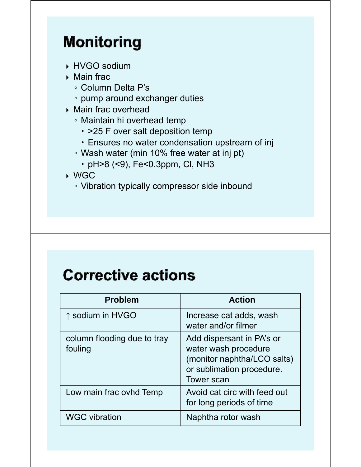# **Monitoring**

- ▶ HVGO sodium
- $\triangleright$  Main frac
	- Column Delta P's
	- pump around exchanger duties
- ▶ Main frac overhead
	- Maintain hi overhead temp
		- $\cdot$  >25 F over salt deposition temp
		- Ensures no water condensation upstream of inj
	- Wash water (min 10% free water at inj pt)
		- pH>8 (<9), Fe<0.3ppm, Cl, NH3

WGC

◦ Vibration typically compressor side inbound

# **Corrective actions**

| <b>Problem</b>                         | <b>Action</b>                                                                                                                      |
|----------------------------------------|------------------------------------------------------------------------------------------------------------------------------------|
| ↑ sodium in HVGO                       | Increase cat adds, wash<br>water and/or filmer                                                                                     |
| column flooding due to tray<br>fouling | Add dispersant in PA's or<br>water wash procedure<br>(monitor naphtha/LCO salts)<br>or sublimation procedure.<br><b>Tower scan</b> |
| Low main frac ovhd Temp                | Avoid cat circ with feed out<br>for long periods of time                                                                           |
| <b>WGC vibration</b>                   | Naphtha rotor wash                                                                                                                 |